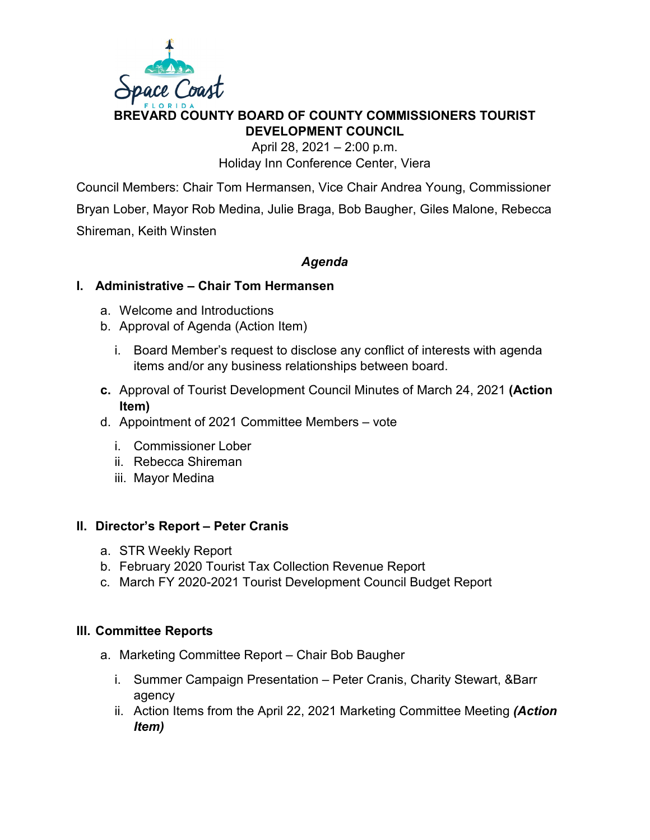

## **BREVARD COUNTY BOARD OF COUNTY COMMISSIONERS TOURIST DEVELOPMENT COUNCIL**

April 28, 2021 – 2:00 p.m. Holiday Inn Conference Center, Viera

Council Members: Chair Tom Hermansen, Vice Chair Andrea Young, Commissioner Bryan Lober, Mayor Rob Medina, Julie Braga, Bob Baugher, Giles Malone, Rebecca Shireman, Keith Winsten

## *Agenda*

## **I. Administrative – Chair Tom Hermansen**

- a. Welcome and Introductions
- b. Approval of Agenda (Action Item)
	- i. Board Member's request to disclose any conflict of interests with agenda items and/or any business relationships between board.
- **c.** Approval of Tourist Development Council Minutes of March 24, 2021 **(Action Item)**
- d. Appointment of 2021 Committee Members vote
	- i. Commissioner Lober
	- ii. Rebecca Shireman
	- iii. Mayor Medina

#### **II. Director's Report – Peter Cranis**

- a. STR Weekly Report
- b. February 2020 Tourist Tax Collection Revenue Report
- c. March FY 2020-2021 Tourist Development Council Budget Report

#### **III. Committee Reports**

- a. Marketing Committee Report Chair Bob Baugher
	- i. Summer Campaign Presentation Peter Cranis, Charity Stewart, &Barr agency
	- ii. Action Items from the April 22, 2021 Marketing Committee Meeting *(Action Item)*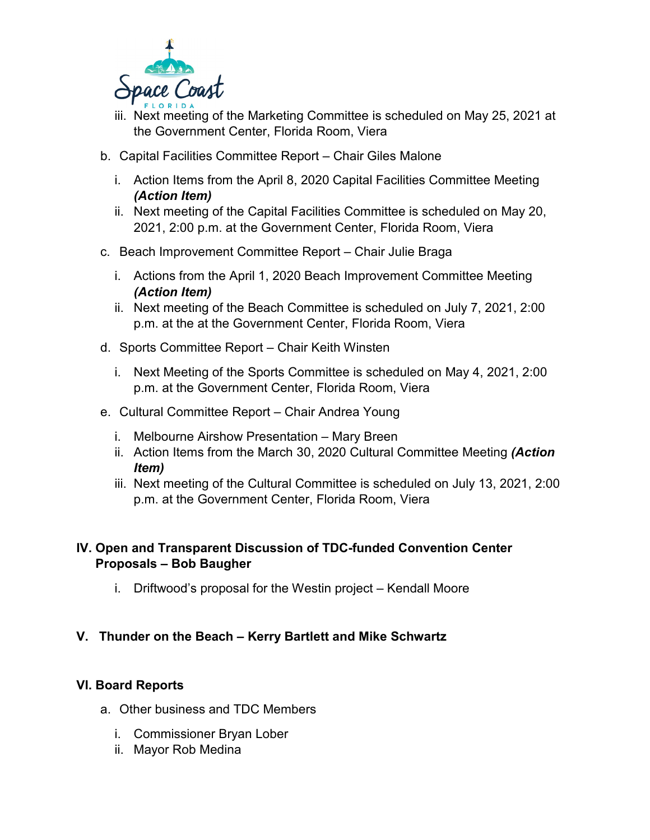

- iii. Next meeting of the Marketing Committee is scheduled on May 25, 2021 at the Government Center, Florida Room, Viera
- b. Capital Facilities Committee Report Chair Giles Malone
	- i. Action Items from the April 8, 2020 Capital Facilities Committee Meeting *(Action Item)*
	- ii. Next meeting of the Capital Facilities Committee is scheduled on May 20, 2021, 2:00 p.m. at the Government Center, Florida Room, Viera
- c. Beach Improvement Committee Report Chair Julie Braga
	- i. Actions from the April 1, 2020 Beach Improvement Committee Meeting *(Action Item)*
	- ii. Next meeting of the Beach Committee is scheduled on July 7, 2021, 2:00 p.m. at the at the Government Center, Florida Room, Viera
- d. Sports Committee Report Chair Keith Winsten
	- i. Next Meeting of the Sports Committee is scheduled on May 4, 2021, 2:00 p.m. at the Government Center, Florida Room, Viera
- e. Cultural Committee Report Chair Andrea Young
	- i. Melbourne Airshow Presentation Mary Breen
	- ii. Action Items from the March 30, 2020 Cultural Committee Meeting *(Action Item)*
	- iii. Next meeting of the Cultural Committee is scheduled on July 13, 2021, 2:00 p.m. at the Government Center, Florida Room, Viera

## **IV. Open and Transparent Discussion of TDC-funded Convention Center Proposals – Bob Baugher**

i. Driftwood's proposal for the Westin project – Kendall Moore

## **V. Thunder on the Beach – Kerry Bartlett and Mike Schwartz**

## **VI. Board Reports**

- a. Other business and TDC Members
	- i. Commissioner Bryan Lober
	- ii. Mayor Rob Medina